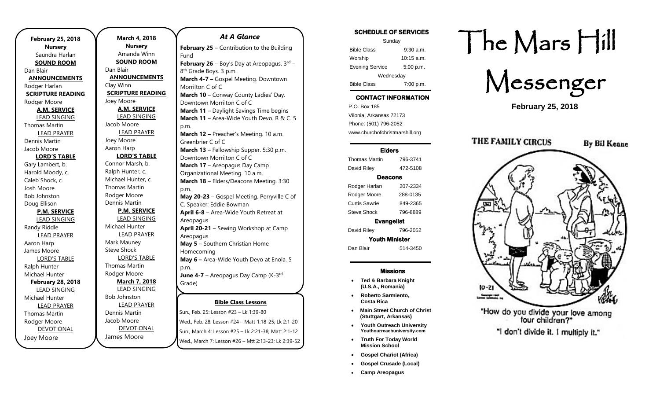| <b>February 25, 2018</b> |
|--------------------------|
| <b>Nursery</b>           |
| Saundra Harlan           |
| <b>SOUND ROOM</b>        |
| Dan Blair                |
| <b>ANNOUNCEMENTS</b>     |
| Rodger Harlan            |
| <b>SCRIPTURE READING</b> |
| Rodger Moore             |
| <b>A.M. SERVICE</b>      |
| <b>LEAD SINGING</b>      |
| <b>Thomas Martin</b>     |
| <b>LEAD PRAYER</b>       |
| Dennis Martin            |
| Jacob Moore              |
| <b>LORD'S TABLE</b>      |
| Gary Lambert, b.         |
| Harold Moody, c.         |
| Caleb Shock, c.          |
| Josh Moore               |
| <b>Bob Johnston</b>      |
| Doug Ellison             |
| <b>P.M. SERVICE</b>      |
| <b>LEAD SINGING</b>      |
| Randy Riddle             |
| <b>LEAD PRAYER</b>       |
| Aaron Harp               |
| James Moore              |
| <b>LORD'S TABLE</b>      |
| Ralph Hunter             |
| Michael Hunter           |
| <b>February 28, 2018</b> |
| <b>LEAD SINGING</b>      |
| Michael Hunter           |
| <b>LEAD PRAYER</b>       |
| Thomas Martin            |
| Rodger Moore             |
| <b>DEVOTIONAL</b>        |
| Joey Moore               |

| March 4, 2018            |                     |
|--------------------------|---------------------|
| <b>Nursery</b>           | Februa              |
| Amanda Winn              | Fund                |
| <b>SOUND ROOM</b>        | Februa              |
| Dan Blair                | 8 <sup>th</sup> Gra |
| <b>ANNOUNCEMENTS</b>     | March               |
| Clay Winn                | Morrilt             |
| <b>SCRIPTURE READING</b> | March               |
| Joey Moore               | Downto              |
| <b>A.M. SERVICE</b>      | March               |
| <b>LEAD SINGING</b>      | March               |
| Jacob Moore              | p.m.                |
| <b>LEAD PRAYER</b>       | March               |
| Joey Moore               | Greenb              |
| Aaron Harp               | March               |
| <b>LORD'S TABLE</b>      | Downto              |
| Connor Marsh, b.         | March               |
| Ralph Hunter, c.         | Organi:             |
| Michael Hunter, c.       | March               |
| <b>Thomas Martin</b>     | p.m.                |
| Rodger Moore             | May 20              |
| Dennis Martin            | C. Spea             |
| <b>P.M. SERVICE</b>      | April 6             |
| <b>LEAD SINGING</b>      | Areopa              |
| Michael Hunter           | <b>April 2</b>      |
| <b>LEAD PRAYER</b>       | Areopa              |
| Mark Mauney              | May 5               |
| <b>Steve Shock</b>       | Homec               |
| <b>LORD'S TABLE</b>      | May 6               |
| Thomas Martin            | p.m.                |
| Rodger Moore             | June 4              |
| <b>March 7, 2018</b>     | Grade)              |
| <b>LEAD SINGING</b>      |                     |
| <b>Bob Johnston</b>      |                     |
| <b>LEAD PRAYER</b>       |                     |
| Dennis Martin            | Sun., Fel           |
| Jacob Moore              | Wed., Fe            |
| <b>DEVOTIONAL</b>        | Sun., Ma            |
| James Moore              |                     |

#### **Bible Class Lessons** b. 25: Lesson #23 – Lk 1:39-80 *At A Glance*  **ary 25** – Contribution to the Building **Ary 26** – Boy's Day at Areopagus. 3rd – de Boys. 3 p.m. **March 4-7 –** Gospel Meeting. Downtown on C of C **10** – Conway County Ladies' Day. own Morrilton C of C **11** – Daylight Savings Time begins **11** – Area-Wide Youth Devo. R & C. 5 **March 12 –** Preacher's Meeting. 10 a.m. orier C of C 13 – Fellowship Supper. 5:30 p.m. own Morrilton C of C 17 – Areopagus Day Camp izational Meeting. 10 a.m. 18 – Elders/Deacons Meeting. 3:30 **May 20-23** – Gospel Meeting. Perryville C of aker: Eddie Bowman **A** – Area-Wide Youth Retreat at agus **April 20-21** – Sewing Workshop at Camp agus **May 5** – Southern Christian Home comina **May 6 –** Area-Wide Youth Devo at Enola. 5 **June 4-7** – Areopagus Day Camp (K-3<sup>rd</sup> <u>Dibie Ciuss Lessons</u>

eb. 28: Lesson #24 – Matt 1:18-25; Lk 2:1-20 Sun., March 4: Lesson #25 - Lk 2:21-38; Matt 2:1-12 wed., March 7: Lesson #26 – Mtt 2:13-23; Lk 2:39-52 SCHEDULE OF SERVICES Sunday

| Sunuay                 |              |  |
|------------------------|--------------|--|
| <b>Bible Class</b>     | $9:30$ a.m.  |  |
| Worship                | $10:15$ a.m. |  |
| <b>Evening Service</b> | 5:00 p.m.    |  |
| Wednesday              |              |  |
| <b>Bible Class</b>     | 7:00 p.m.    |  |

#### CONTACT INFORMATION

. .o. Box 166<br>Vilonia, Arkansas 72173 P.O. Box 185 Phone: (501) 796-2052 www.churchofchristmarshill.org

#### Elders

Thomas Martin 796-3741 David Riley 472-5108 Deacons Rodger Harlan 207-2334 Rodger Moore 288-0135 Curtis Sawrie 849-2365 Steve Shock 796-8889 Evangelist David Riley 796-2052 Youth Minister

Dan Blair 514-3450

#### Missions

- **Ted & Barbara Knight (U.S.A., Romania)**
- **Roberto Sarmiento, Costa Rica**
- **Main Street Church of Christ (Stuttgart, Arkansas)**
- **Youth Outreach University Youthourreachuniversity.com**
- **Truth For Today World Mission School**
- **Gospel Chariot (Africa)**
- **Gospel Crusade (Local)**
- **Camp Areopagus**

# The Mars Hill

Messenger

**February 25, 2018**



"How do you divide your love among<br>four children?"

"I don't divide it. I multiply it."